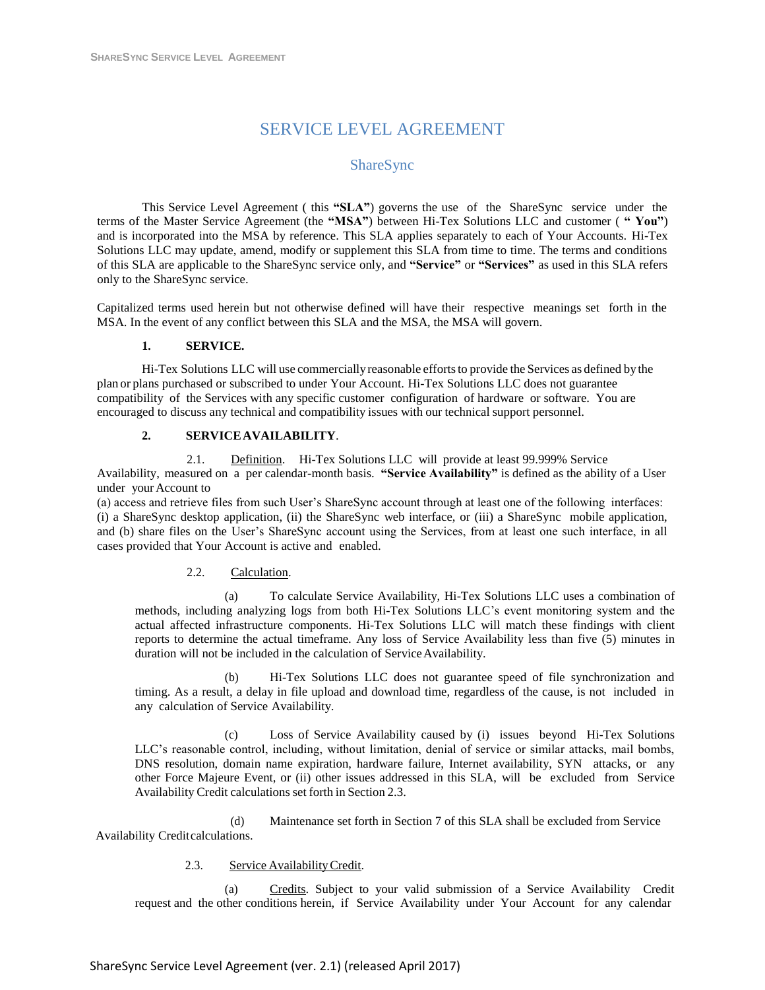# SERVICE LEVEL AGREEMENT

# ShareSync

This Service Level Agreement ( this **"SLA"**) governs the use of the ShareSync service under the terms of the Master Service Agreement (the **"MSA"**) between Hi-Tex Solutions LLC and customer ( **" You"**) and is incorporated into the MSA by reference. This SLA applies separately to each of Your Accounts. Hi-Tex Solutions LLC may update, amend, modify or supplement this SLA from time to time. The terms and conditions of this SLA are applicable to the ShareSync service only, and **"Service"** or **"Services"** as used in this SLA refers only to the ShareSync service.

Capitalized terms used herein but not otherwise defined will have their respective meanings set forth in the MSA. In the event of any conflict between this SLA and the MSA, the MSA will govern.

#### **1. SERVICE.**

Hi-Tex Solutions LLC will use commerciallyreasonable effortsto provide the Services as defined by the plan or plans purchased or subscribed to under Your Account. Hi-Tex Solutions LLC does not guarantee compatibility of the Services with any specific customer configuration of hardware or software. You are encouraged to discuss any technical and compatibility issues with our technical support personnel.

#### **2. SERVICEAVAILABILITY**.

2.1. Definition. Hi-Tex Solutions LLC will provide at least 99.999% Service Availability, measured on a per calendar-month basis. **"Service Availability"** is defined as the ability of a User under your Account to

(a) access and retrieve files from such User's ShareSync account through at least one of the following interfaces: (i) a ShareSync desktop application, (ii) the ShareSync web interface, or (iii) a ShareSync mobile application, and (b) share files on the User's ShareSync account using the Services, from at least one such interface, in all cases provided that Your Account is active and enabled.

#### 2.2. Calculation.

(a) To calculate Service Availability, Hi-Tex Solutions LLC uses a combination of methods, including analyzing logs from both Hi-Tex Solutions LLC's event monitoring system and the actual affected infrastructure components. Hi-Tex Solutions LLC will match these findings with client reports to determine the actual timeframe. Any loss of Service Availability less than five (5) minutes in duration will not be included in the calculation of ServiceAvailability.

(b) Hi-Tex Solutions LLC does not guarantee speed of file synchronization and timing. As a result, a delay in file upload and download time, regardless of the cause, is not included in any calculation of Service Availability.

(c) Loss of Service Availability caused by (i) issues beyond Hi-Tex Solutions LLC's reasonable control, including, without limitation, denial of service or similar attacks, mail bombs, DNS resolution, domain name expiration, hardware failure, Internet availability, SYN attacks, or any other Force Majeure Event, or (ii) other issues addressed in this SLA, will be excluded from Service Availability Credit calculations set forth in Section 2.3.

(d) Maintenance set forth in Section 7 of this SLA shall be excluded from Service Availability Creditcalculations.

2.3. Service AvailabilityCredit.

(a) Credits. Subject to your valid submission of a Service Availability Credit request and the other conditions herein, if Service Availability under Your Account for any calendar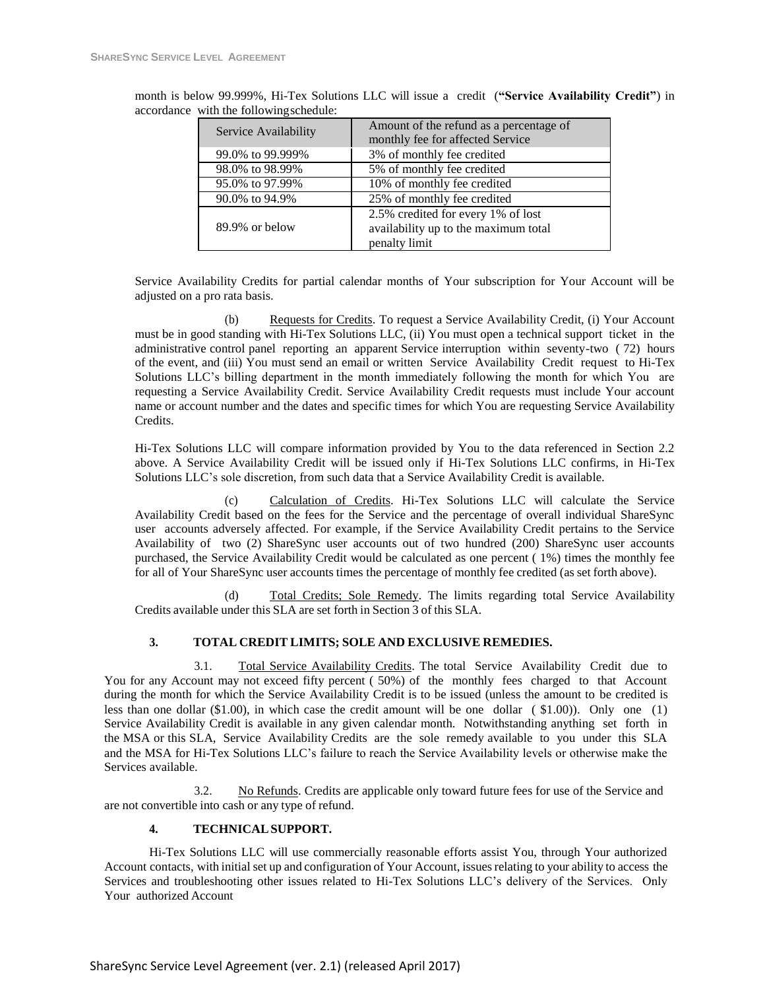| Service Availability | Amount of the refund as a percentage of<br>monthly fee for affected Service                 |
|----------------------|---------------------------------------------------------------------------------------------|
| 99.0% to 99.999%     | 3% of monthly fee credited                                                                  |
| 98.0% to 98.99%      | 5% of monthly fee credited                                                                  |
| 95.0% to 97.99%      | 10% of monthly fee credited                                                                 |
| 90.0% to 94.9%       | 25% of monthly fee credited                                                                 |
| $89.9\%$ or below    | 2.5% credited for every 1% of lost<br>availability up to the maximum total<br>penalty limit |

month is below 99.999%, Hi-Tex Solutions LLC will issue a credit (**"Service Availability Credit"**) in accordance with the followingschedule:

Service Availability Credits for partial calendar months of Your subscription for Your Account will be adjusted on a pro rata basis.

(b) Requests for Credits. To request a Service Availability Credit, (i) Your Account must be in good standing with Hi-Tex Solutions LLC, (ii) You must open a technical support ticket in the administrative control panel reporting an apparent Service interruption within seventy-two ( 72) hours of the event, and (iii) You must send an email or written Service Availability Credit request to Hi-Tex Solutions LLC's billing department in the month immediately following the month for which You are requesting a Service Availability Credit. Service Availability Credit requests must include Your account name or account number and the dates and specific times for which You are requesting Service Availability Credits.

Hi-Tex Solutions LLC will compare information provided by You to the data referenced in Section 2.2 above. A Service Availability Credit will be issued only if Hi-Tex Solutions LLC confirms, in Hi-Tex Solutions LLC's sole discretion, from such data that a Service Availability Credit is available.

(c) Calculation of Credits. Hi-Tex Solutions LLC will calculate the Service Availability Credit based on the fees for the Service and the percentage of overall individual ShareSync user accounts adversely affected. For example, if the Service Availability Credit pertains to the Service Availability of two (2) ShareSync user accounts out of two hundred (200) ShareSync user accounts purchased, the Service Availability Credit would be calculated as one percent ( 1%) times the monthly fee for all of Your ShareSync user accounts times the percentage of monthly fee credited (as set forth above).

(d) Total Credits; Sole Remedy. The limits regarding total Service Availability Credits available under this SLA are set forth in Section 3 of this SLA.

# **3. TOTAL CREDIT LIMITS; SOLE AND EXCLUSIVE REMEDIES.**

3.1. Total Service Availability Credits. The total Service Availability Credit due to You for any Account may not exceed fifty percent ( 50%) of the monthly fees charged to that Account during the month for which the Service Availability Credit is to be issued (unless the amount to be credited is less than one dollar (\$1.00), in which case the credit amount will be one dollar ( \$1.00)). Only one (1) Service Availability Credit is available in any given calendar month. Notwithstanding anything set forth in the MSA or this SLA, Service Availability Credits are the sole remedy available to you under this SLA and the MSA for Hi-Tex Solutions LLC's failure to reach the Service Availability levels or otherwise make the Services available.

3.2. No Refunds. Credits are applicable only toward future fees for use of the Service and are not convertible into cash or any type of refund.

#### **4. TECHNICALSUPPORT.**

Hi-Tex Solutions LLC will use commercially reasonable efforts assist You, through Your authorized Account contacts, with initial set up and configuration of Your Account, issuesrelating to your ability to access the Services and troubleshooting other issues related to Hi-Tex Solutions LLC's delivery of the Services. Only Your authorized Account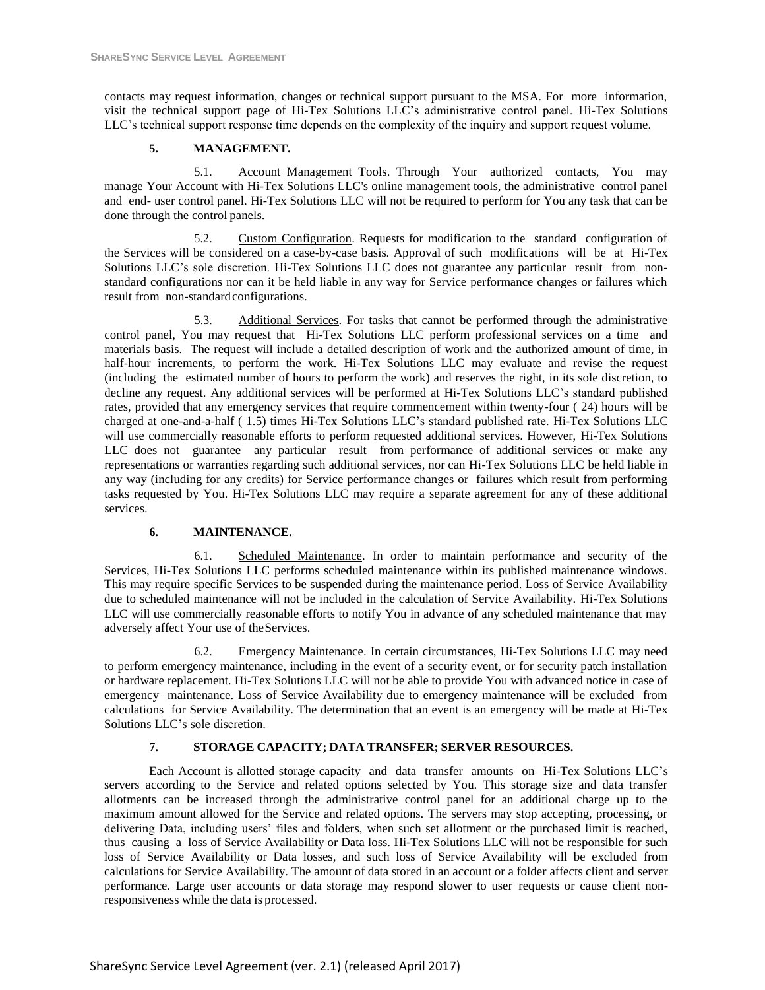contacts may request information, changes or technical support pursuant to the MSA. For more information, visit the technical support page of Hi-Tex Solutions LLC's administrative control panel. Hi-Tex Solutions LLC's technical support response time depends on the complexity of the inquiry and support request volume.

## **5. MANAGEMENT.**

5.1. Account Management Tools. Through Your authorized contacts, You may manage Your Account with Hi-Tex Solutions LLC's online management tools, the administrative control panel and end- user control panel. Hi-Tex Solutions LLC will not be required to perform for You any task that can be done through the control panels.

5.2. Custom Configuration. Requests for modification to the standard configuration of the Services will be considered on a case-by-case basis. Approval of such modifications will be at Hi-Tex Solutions LLC's sole discretion. Hi-Tex Solutions LLC does not guarantee any particular result from nonstandard configurations nor can it be held liable in any way for Service performance changes or failures which result from non-standard configurations.

5.3. Additional Services. For tasks that cannot be performed through the administrative control panel, You may request that Hi-Tex Solutions LLC perform professional services on a time and materials basis. The request will include a detailed description of work and the authorized amount of time, in half-hour increments, to perform the work. Hi-Tex Solutions LLC may evaluate and revise the request (including the estimated number of hours to perform the work) and reserves the right, in its sole discretion, to decline any request. Any additional services will be performed at Hi-Tex Solutions LLC's standard published rates, provided that any emergency services that require commencement within twenty-four ( 24) hours will be charged at one-and-a-half ( 1.5) times Hi-Tex Solutions LLC's standard published rate. Hi-Tex Solutions LLC will use commercially reasonable efforts to perform requested additional services. However, Hi-Tex Solutions LLC does not guarantee any particular result from performance of additional services or make any representations or warranties regarding such additional services, nor can Hi-Tex Solutions LLC be held liable in any way (including for any credits) for Service performance changes or failures which result from performing tasks requested by You. Hi-Tex Solutions LLC may require a separate agreement for any of these additional services.

# **6. MAINTENANCE.**

6.1. Scheduled Maintenance. In order to maintain performance and security of the Services, Hi-Tex Solutions LLC performs scheduled maintenance within its published maintenance windows. This may require specific Services to be suspended during the maintenance period. Loss of Service Availability due to scheduled maintenance will not be included in the calculation of Service Availability. Hi-Tex Solutions LLC will use commercially reasonable efforts to notify You in advance of any scheduled maintenance that may adversely affect Your use of theServices.

6.2. Emergency Maintenance. In certain circumstances, Hi-Tex Solutions LLC may need to perform emergency maintenance, including in the event of a security event, or for security patch installation or hardware replacement. Hi-Tex Solutions LLC will not be able to provide You with advanced notice in case of emergency maintenance. Loss of Service Availability due to emergency maintenance will be excluded from calculations for Service Availability. The determination that an event is an emergency will be made at Hi-Tex Solutions LLC's sole discretion.

#### **7. STORAGE CAPACITY; DATA TRANSFER; SERVER RESOURCES.**

Each Account is allotted storage capacity and data transfer amounts on Hi-Tex Solutions LLC's servers according to the Service and related options selected by You. This storage size and data transfer allotments can be increased through the administrative control panel for an additional charge up to the maximum amount allowed for the Service and related options. The servers may stop accepting, processing, or delivering Data, including users' files and folders, when such set allotment or the purchased limit is reached, thus causing a loss of Service Availability or Data loss. Hi-Tex Solutions LLC will not be responsible for such loss of Service Availability or Data losses, and such loss of Service Availability will be excluded from calculations for Service Availability. The amount of data stored in an account or a folder affects client and server performance. Large user accounts or data storage may respond slower to user requests or cause client nonresponsiveness while the data is processed.